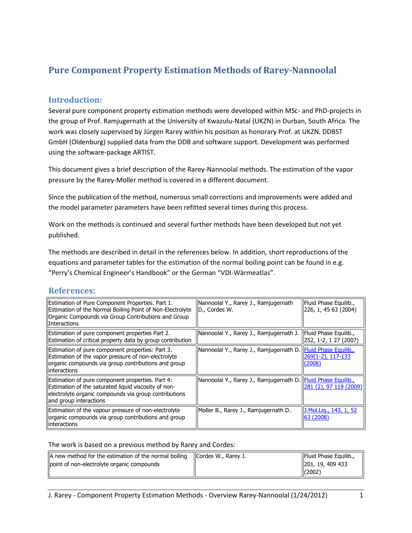# **Pure Component Property Estimation Methods of Rarey-Nannoolal**

## **Introduction:**

Several pure component property estimation methods were developed within MSc- and PhD-projects in the group of Prof. Ramjugernath at the University of Kwazulu-Natal (UKZN) in Durban, South Africa. The work was closely supervised by Jürgen Rarey within his position as honorary Prof. at UKZN. DDBST GmbH (Oldenburg) supplied data from the DDB and software support. Development was performed using the software-package ARTIST.

This document gives a brief description of the Rarey-Nannoolal methods. The estimation of the vapor pressure by the Rarey-Moller method is covered in a different document.

Since the publication of the method, numerous small corrections and improvements were added and the model parameter parameters have been refitted several times during this process.

Work on the methods is continued and several further methods have been developed but not yet published.

The methods are described in detail in the references below. In addition, short reproductions of the equations and parameter tables for the estimation of the normal boiling point can be found in e.g. "Perry's Chemical Engineer's Handbook" or the German "VDI-Wärmeatlas".

### **References:**

| Estimation of Pure Component Properties. Part 1.<br>Estimation of the Normal Boiling Point of Non-Electrolyte<br>Organic Compounds via Group Contributions and Group<br>llInteractions      | Nannoolal Y., Rarey J., Ramjugernath<br>D., Cordes W.         | Fluid Phase Equilib.,<br>226, 1, 45 63 (2004)  |
|---------------------------------------------------------------------------------------------------------------------------------------------------------------------------------------------|---------------------------------------------------------------|------------------------------------------------|
| Estimation of pure component properties Part 2.<br>Estimation of critical property data by group contribution                                                                               | Nannoolal Y., Rarey J., Ramjugernath J.                       | Fluid Phase Equilib.,<br>252, 1-2, 1 27 (2007) |
| Estimation of pure component properties: Part 3.<br>Estimation of the vapor pressure of non-electrolyte<br>organic compounds via group contributions and group<br>linteractions             | Nannoolal Y., Rarey J., Ramjugernath D. Fluid Phase Equilib., | 269(1-2), 117-133<br>(2008)                    |
| Estimation of pure component properties. Part 4:<br>Estimation of the saturated liquid viscosity of non-<br>electrolyte organic compounds via group contributions<br>and group interactions | Nannoolal Y., Rarey J., Ramjugernath D. Fluid Phase Equilib   | 281 (2), 97 119 (2009)                         |
| Estimation of the vapour pressure of non-electrolyte<br>lorganic compounds via group contributions and group<br>llinteractions                                                              | Moller B., Rarey J., Ramjugernath D.                          | J.Mol.Lig., 143, 1, 52<br>63 (2008)            |

### The work is based on a previous method by Rarey and Cordes:

| A new method for the estimation of the normal boiling | IlCordes W., Rarev J. | <b>IFluid Phase Equilib.,</b> |
|-------------------------------------------------------|-----------------------|-------------------------------|
| point of non-electrolyte organic compounds            |                       | 201, 19, 409 433              |
|                                                       |                       | (2002)                        |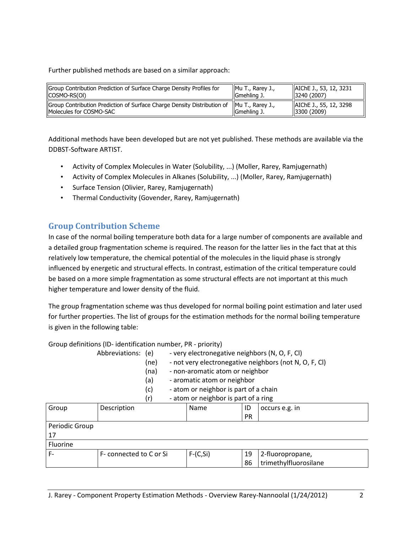Further published methods are based on a similar approach:

| Group Contribution Prediction of Surface Charge Density Profiles for                                                   | Mu T., Rarey J., | AIChE J., 53, 12, 3231                |
|------------------------------------------------------------------------------------------------------------------------|------------------|---------------------------------------|
| (COSMO-RS(OI)                                                                                                          | IlGmehling J.    | 3240(2007)                            |
| Group Contribution Prediction of Surface Charge Density Distribution of   Mu T., Rarey J.,<br>IMolecules for COSMO-SAC | Gmehling J.      | AIChE J., 55, 12, 3298<br> 3300(2009) |

Additional methods have been developed but are not yet published. These methods are available via the DDBST-Software ARTIST.

- Activity of Complex Molecules in Water (Solubility, ...) (Moller, Rarey, Ramjugernath)
- Activity of Complex Molecules in Alkanes (Solubility, ...) (Moller, Rarey, Ramjugernath)
- Surface Tension (Olivier, Rarey, Ramjugernath)
- Thermal Conductivity (Govender, Rarey, Ramjugernath)

## **Group Contribution Scheme**

In case of the normal boiling temperature both data for a large number of components are available and a detailed group fragmentation scheme is required. The reason for the latter lies in the fact that at this relatively low temperature, the chemical potential of the molecules in the liquid phase is strongly influenced by energetic and structural effects. In contrast, estimation of the critical temperature could be based on a more simple fragmentation as some structural effects are not important at this much higher temperature and lower density of the fluid.

The group fragmentation scheme was thus developed for normal boiling point estimation and later used for further properties. The list of groups for the estimation methods for the normal boiling temperature is given in the following table:

Group definitions (ID- identification number, PR - priority)

| Abbreviations: (e) |      | - very electronegative neighbors (N, O, F, Cl)     |
|--------------------|------|----------------------------------------------------|
|                    | ln n | $not your反 function condition no in other (not N)$ |

- (ne) not very electronegative neighbors (not N, O, F, Cl)
- (na) non-aromatic atom or neighbor
- (a) aromatic atom or neighbor
- (c) atom or neighbor is part of a chain

| - atom or neighbor is part of a ring<br>(r |             |  |             |    |                |
|--------------------------------------------|-------------|--|-------------|----|----------------|
| Group                                      | Description |  | <b>Name</b> | ID | occurs e.g. in |
|                                            |             |  |             | DR |                |

|                |                         |            | <b>PR</b> |                       |
|----------------|-------------------------|------------|-----------|-----------------------|
| Periodic Group |                         |            |           |                       |
| i 17           |                         |            |           |                       |
| Fluorine       |                         |            |           |                       |
| ' F-           | F- connected to C or Si | $F-(C,Si)$ | 19        | 2-fluoropropane,      |
|                |                         |            | 86        | trimethylfluorosilane |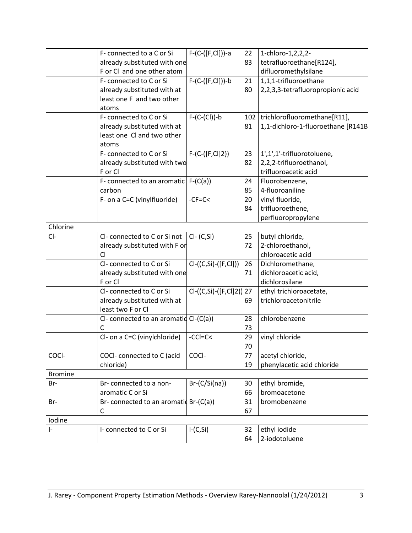|                | F- connected to a C or Si                | F-(C-([F,Cl]))-a         | 22 | 1-chloro-1,2,2,2-                  |
|----------------|------------------------------------------|--------------------------|----|------------------------------------|
|                | already substituted with one             |                          | 83 | tetrafluoroethane[R124],           |
|                | F or Cl and one other atom               |                          |    | difluoromethylsilane               |
|                | F- connected to C or Si                  | $F-(C-([F, Cl]))-b$      | 21 | 1,1,1-trifluoroethane              |
|                | already substituted with at              |                          | 80 | 2,2,3,3-tetrafluoropropionic acid  |
|                | least one F and two other                |                          |    |                                    |
|                | atoms                                    |                          |    |                                    |
|                | F- connected to C or Si                  | $F-(C-(Cl))$ -b          |    | 102   trichlorofluoromethane[R11], |
|                | already substituted with at              |                          | 81 | 1,1-dichloro-1-fluoroethane [R141B |
|                | least one Cl and two other               |                          |    |                                    |
|                | atoms                                    |                          |    |                                    |
|                | F- connected to C or Si                  | $F-(C-([F,C])2))$        | 23 | 1',1',1'-trifluorotoluene,         |
|                | already substituted with two             |                          | 82 | 2,2,2-trifluoroethanol,            |
|                | F or Cl                                  |                          |    | trifluoroacetic acid               |
|                | F- connected to an aromatic              | $F-(C(a))$               | 24 | Fluorobenzene,                     |
|                | carbon                                   |                          | 85 | 4-fluoroaniline                    |
|                | F- on a C=C (vinylfluoride)              | $-CF=C<$                 | 20 | vinyl fluoride,                    |
|                |                                          |                          | 84 | trifluoroethene,                   |
|                |                                          |                          |    | perfluoropropylene                 |
| Chlorine       |                                          |                          |    |                                    |
| CI-            | Cl-connected to C or Si not              | $Cl - (C, Si)$           | 25 | butyl chloride,                    |
|                | already substituted with F or            |                          | 72 | 2-chloroethanol,                   |
|                | Cl                                       |                          |    | chloroacetic acid                  |
|                | Cl-connected to C or Si                  | $Cl-(C, Si)-([F, Cl]))$  | 26 | Dichloromethane,                   |
|                | already substituted with one             |                          | 71 | dichloroacetic acid,               |
|                | F or Cl                                  |                          |    | dichlorosilane                     |
|                | Cl-connected to C or Si                  | Cl-((C,Si)-([F,Cl]2)] 27 |    | ethyl trichloroacetate,            |
|                | already substituted with at              |                          | 69 | trichloroacetonitrile              |
|                | least two F or Cl                        |                          |    |                                    |
|                | CI- connected to an aromatid $Cl-(C(a))$ |                          | 28 | chlorobenzene                      |
|                | C                                        |                          | 73 |                                    |
|                | Cl- on a C=C (vinylchloride)             | $-CCI = C <$             | 29 | vinyl chloride                     |
|                |                                          |                          | 70 |                                    |
| COCI-          | COCI- connected to C (acid               | COCI-                    | 77 | acetyl chloride,                   |
|                | chloride)                                |                          | 19 | phenylacetic acid chloride         |
| <b>Bromine</b> |                                          |                          |    |                                    |
| Br-            | Br-connected to a non-                   | $Br-(C/Si(na))$          | 30 | ethyl bromide,                     |
|                | aromatic C or Si                         |                          | 66 | bromoacetone                       |
| Br-            | Br- connected to an aromatid Br-(C(a))   |                          | 31 | bromobenzene                       |
|                | $\mathsf{C}$                             |                          | 67 |                                    |
| Iodine         |                                          |                          |    |                                    |
| $\mathsf{I}$   | I- connected to C or Si                  | $I-(C,Si)$               | 32 | ethyl iodide                       |
|                |                                          |                          | 64 | 2-iodotoluene                      |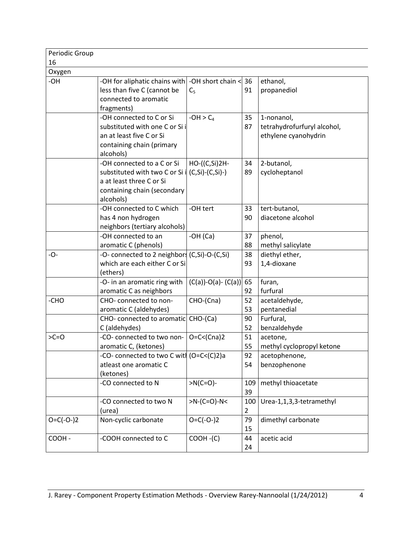| Periodic Group |                                                                                                                                        |                                      |                       |                                                                   |
|----------------|----------------------------------------------------------------------------------------------------------------------------------------|--------------------------------------|-----------------------|-------------------------------------------------------------------|
| 16             |                                                                                                                                        |                                      |                       |                                                                   |
| Oxygen         |                                                                                                                                        |                                      |                       |                                                                   |
| -OH            | -OH for aliphatic chains with $\vert$ -OH short chain $\vert$ 36<br>less than five C (cannot be<br>connected to aromatic<br>fragments) | C <sub>5</sub>                       | 91                    | ethanol,<br>propanediol                                           |
|                | -OH connected to C or Si<br>substituted with one C or Si i<br>an at least five C or Si<br>containing chain (primary<br>alcohols)       | $-OH > C4$                           | 35<br>87              | 1-nonanol,<br>tetrahydrofurfuryl alcohol,<br>ethylene cyanohydrin |
|                | -OH connected to a C or Si<br>substituted with two C or Si<br>a at least three C or Si<br>containing chain (secondary<br>alcohols)     | HO-((C,Si)2H-<br>$i$ (C,Si)-(C,Si)-) | 34<br>89              | 2-butanol,<br>cycloheptanol                                       |
|                | -OH connected to C which<br>has 4 non hydrogen<br>neighbors (tertiary alcohols)                                                        | -OH tert                             | 33<br>90              | tert-butanol,<br>diacetone alcohol                                |
|                | -OH connected to an<br>aromatic C (phenols)                                                                                            | $-OH(Ca)$                            | 37<br>88              | phenol,<br>methyl salicylate                                      |
| -0-            | -O- connected to 2 neighbors (C,Si)-O-(C,Si)<br>which are each either C or Si<br>(ethers)                                              |                                      | 38<br>93              | diethyl ether,<br>1,4-dioxane                                     |
|                | -O- in an aromatic ring with<br>aromatic C as neighbors                                                                                | $(C(a))$ -O(a)- $(C(a))$ 65          | 92                    | furan,<br>furfural                                                |
| -CHO           | CHO-connected to non-<br>aromatic C (aldehydes)                                                                                        | CHO-(Cna)                            | 52<br>53              | acetaldehyde,<br>pentanedial                                      |
|                | CHO- connected to aromatic<br>C (aldehydes)                                                                                            | CHO-(Ca)                             | 90<br>52              | Furfural,<br>benzaldehyde                                         |
| $>C=O$         | -CO- connected to two non-<br>aromatic C, (ketones)                                                                                    | $O=C<(Cna)2$                         | 51<br>55              | acetone,<br>methyl cyclopropyl ketone                             |
|                | -CO- connected to two C with (O=C<(C)2)a<br>atleast one aromatic C<br>(ketones)                                                        |                                      | 92<br>54              | acetophenone,<br>benzophenone                                     |
|                | -CO connected to N                                                                                                                     | $>N(C=O)$ -                          | 109<br>39             | methyl thioacetate                                                |
|                | -CO connected to two N<br>(urea)                                                                                                       | $>N-(C=O)-N<$                        | 100<br>$\overline{2}$ | Urea-1,1,3,3-tetramethyl                                          |
| $O=C(-O-2)$    | Non-cyclic carbonate                                                                                                                   | $O = C(-O-2)$                        | 79<br>15              | dimethyl carbonate                                                |
| COOH -         | -COOH connected to C                                                                                                                   | $COOH - (C)$                         | 44<br>24              | acetic acid                                                       |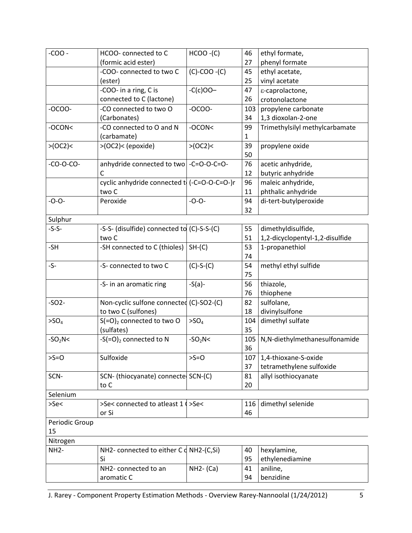| $-COO-$           | HCOO- connected to C                         | $HCOO - (C)$     | 46  | ethyl formate,                  |
|-------------------|----------------------------------------------|------------------|-----|---------------------------------|
|                   | (formic acid ester)                          |                  | 27  | phenyl formate                  |
|                   | -COO- connected to two C                     | $(C)-COO - (C)$  | 45  | ethyl acetate,                  |
|                   | (ester)                                      |                  | 25  | vinyl acetate                   |
|                   | -COO- in a ring, C is                        | $-C(c)OO-$       | 47  | ε-caprolactone,                 |
|                   | connected to C (lactone)                     |                  | 26  | crotonolactone                  |
| $-OCOO-$          | -CO connected to two O                       | $-OCOO-$         | 103 | propylene carbonate             |
|                   | (Carbonates)                                 |                  | 34  | 1,3 dioxolan-2-one              |
| -OCON<            | -CO connected to O and N                     | $-OCON<$         | 99  | Trimethylsilyl methylcarbamate  |
|                   | (carbamate)                                  |                  | 1   |                                 |
| >(OC2)            | >(OC2) < (epoxide)                           | >(OC2)           | 39  | propylene oxide                 |
|                   |                                              |                  | 50  |                                 |
| $-CO-O-CO-$       | anhydride connected to two -C=O-O-C=O-       |                  | 76  | acetic anhydride,               |
|                   | C                                            |                  | 12  | butyric anhydride               |
|                   | cyclic anhydride connected to (-C=O-O-C=O-)r |                  | 96  | maleic anhydride,               |
|                   | two C                                        |                  | 11  | phthalic anhydride              |
| $-0-0-$           | Peroxide                                     | $-O - O -$       | 94  | di-tert-butylperoxide           |
|                   |                                              |                  | 32  |                                 |
| Sulphur           |                                              |                  |     |                                 |
| $-S-S-$           | -S-S- (disulfide) connected to (C)-S-S-(C)   |                  | 55  | dimethyldisulfide,              |
|                   | two C                                        |                  | 51  | 1,2-dicyclopentyl-1,2-disulfide |
| -SH               | -SH connected to C (thioles)                 | $SH-(C)$         | 53  | 1-propanethiol                  |
|                   |                                              |                  | 74  |                                 |
| $-S-$             | -S- connected to two C                       | $(C)-S-(C)$      | 54  | methyl ethyl sulfide            |
|                   |                                              |                  | 75  |                                 |
|                   | -S- in an aromatic ring                      | $-S(a)$ -        | 56  | thiazole,                       |
|                   |                                              |                  | 76  | thiophene                       |
| $-SO2$            | Non-cyclic sulfone connected (C)-SO2-(C)     |                  | 82  | sulfolane,                      |
|                   | to two C (sulfones)                          |                  | 18  | divinylsulfone                  |
| >SO <sub>4</sub>  | $S(=O)2$ connected to two O                  | >SO <sub>4</sub> | 104 | dimethyl sulfate                |
|                   | (sulfates)                                   |                  | 35  |                                 |
| $-SO2N<$          | $-S(=O)2$ connected to N                     | $-SO2N<$         | 105 | N,N-diethylmethanesulfonamide   |
|                   |                                              |                  | 36  |                                 |
| $>S=O$            | Sulfoxide                                    | $>S=O$           | 107 | 1,4-thioxane-S-oxide            |
|                   |                                              |                  | 37  | tetramethylene sulfoxide        |
| SCN-              | SCN- (thiocyanate) connecte SCN-(C)          |                  | 81  | allyl isothiocyanate            |
|                   | to C                                         |                  | 20  |                                 |
| Selenium          |                                              |                  |     |                                 |
| >Se<              | >Se< connected to atleast 1 (>Se<            |                  | 116 | dimethyl selenide               |
|                   | or Si                                        |                  | 46  |                                 |
| Periodic Group    |                                              |                  |     |                                 |
| 15                |                                              |                  |     |                                 |
| Nitrogen          |                                              |                  |     |                                 |
| NH <sub>2</sub> - | NH2- connected to either $C d$ NH2-(C, Si)   |                  | 40  | hexylamine,                     |
|                   | Si                                           |                  | 95  | ethylenediamine                 |
|                   | NH2- connected to an                         | $NH2-$ (Ca)      | 41  | aniline,                        |
|                   | aromatic C                                   |                  | 94  | benzidine                       |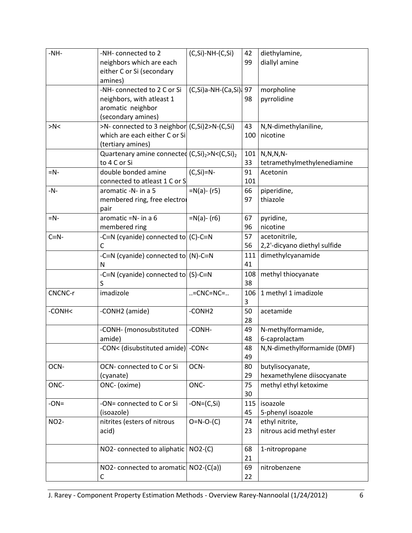| $-NH-$         | -NH- connected to 2                                                   | $(C, Si)-NH-(C, Si)$            | 42  | diethylamine,                |
|----------------|-----------------------------------------------------------------------|---------------------------------|-----|------------------------------|
|                | neighbors which are each                                              |                                 | 99  | diallyl amine                |
|                | either C or Si (secondary                                             |                                 |     |                              |
|                | amines)                                                               |                                 |     |                              |
|                | -NH- connected to 2 C or Si                                           | $(C, Si)$ a-NH- $(Ca, Si)$ ; 97 |     | morpholine                   |
|                | neighbors, with atleast 1                                             |                                 | 98  | pyrrolidine                  |
|                | aromatic neighbor                                                     |                                 |     |                              |
|                | (secondary amines)                                                    |                                 |     |                              |
| >N<            | >N- connected to 3 neighbor (C, Si) 2>N-(C, Si)                       |                                 | 43  | N,N-dimethylaniline,         |
|                | which are each either C or Si                                         |                                 | 100 | nicotine                     |
|                | (tertiary amines)                                                     |                                 |     |                              |
|                | Quartenary amine connected (C,Si) <sub>2</sub> >N<(C,Si) <sub>2</sub> |                                 | 101 | $N, N, N, N$ -               |
|                | to 4 C or Si                                                          |                                 | 33  | tetramethylmethylenediamine  |
| $=N$ -         | double bonded amine                                                   | $(C, Si)=N$ -                   | 91  | Acetonin                     |
|                | connected to atleast 1 C or S                                         |                                 | 101 |                              |
| $-N-$          | aromatic -N- in a 5                                                   | $=N(a) - (r5)$                  | 66  | piperidine,                  |
|                | membered ring, free electror                                          |                                 | 97  | thiazole                     |
|                | pair                                                                  |                                 |     |                              |
| $=N$ -         | aromatic = $N-$ in a 6                                                | $=N(a) - (r6)$                  | 67  | pyridine,                    |
|                | membered ring                                                         |                                 | 96  | nicotine                     |
| $C \equiv N -$ | -C $\equiv$ N (cyanide) connected to (C)-C $\equiv$ N                 |                                 | 57  | acetonitrile,                |
|                | C                                                                     |                                 | 56  | 2,2'-dicyano diethyl sulfide |
|                |                                                                       |                                 |     |                              |
|                | -C≡N (cyanide) connected to (N)-C≡N                                   |                                 | 111 | dimethylcyanamide            |
|                | N                                                                     |                                 | 41  |                              |
|                | -C=N (cyanide) connected to $(S)$ -C=N                                |                                 | 108 | methyl thiocyanate           |
|                | S                                                                     |                                 | 38  |                              |
| CNCNC-r        | imadizole                                                             | $=CNC=NC=.$                     | 106 | 1 methyl 1 imadizole         |
|                |                                                                       |                                 | 3   |                              |
| -CONH<         | -CONH2 (amide)                                                        | -CONH <sub>2</sub>              | 50  | acetamide                    |
|                |                                                                       |                                 | 28  |                              |
|                | -CONH- (monosubstituted                                               | -CONH-                          | 49  | N-methylformamide,           |
|                | amide)                                                                |                                 | 48  | 6-caprolactam                |
|                | -CON< (disubstituted amide) -CON<                                     |                                 | 48  | N, N-dimethylformamide (DMF) |
|                |                                                                       |                                 | 49  |                              |
| OCN-           | OCN-connected to C or Si                                              | OCN-                            | 80  | butylisocyanate,             |
|                | (cyanate)                                                             |                                 | 29  | hexamethylene diisocyanate   |
| ONC-           | ONC- (oxime)                                                          | ONC-                            | 75  | methyl ethyl ketoxime        |
|                |                                                                       |                                 | 30  |                              |
| $-ON =$        | -ON= connected to C or Si                                             | $-ON=(C,Si)$                    | 115 | isoazole                     |
|                | (isoazole)                                                            |                                 | 45  | 5-phenyl isoazole            |
| <b>NO2-</b>    | nitrites (esters of nitrous                                           | $O=N-O-(C)$                     | 74  | ethyl nitrite,               |
|                | acid)                                                                 |                                 | 23  | nitrous acid methyl ester    |
|                |                                                                       |                                 |     |                              |
|                | NO2- connected to aliphatic   NO2-(C)                                 |                                 | 68  | 1-nitropropane               |
|                |                                                                       |                                 | 21  |                              |
|                | NO2- connected to aromatic $NO2-(C(a))$                               |                                 | 69  | nitrobenzene                 |
|                | С                                                                     |                                 | 22  |                              |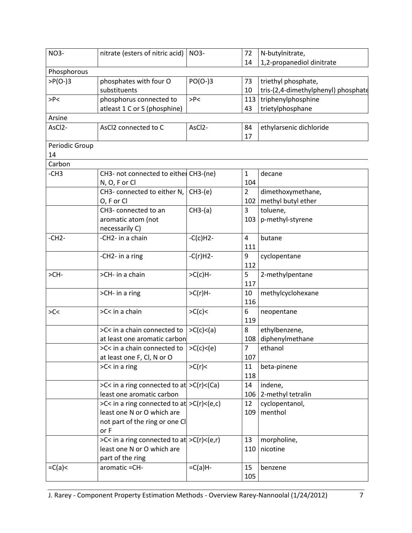| <b>NO3-</b>          | nitrate (esters of nitric acid)                                                 | <b>NO3-</b>         | 72             | N-butylnitrate,                     |
|----------------------|---------------------------------------------------------------------------------|---------------------|----------------|-------------------------------------|
|                      |                                                                                 |                     | 14             | 1,2-propanediol dinitrate           |
| Phosphorous          |                                                                                 |                     |                |                                     |
| $>P(O-)3$            | phosphates with four O                                                          | $PO(O-)3$           | 73             | triethyl phosphate,                 |
|                      | substituents                                                                    |                     | 10             | tris-(2,4-dimethylphenyl) phosphate |
| >P<                  | phosphorus connected to                                                         | >P<                 | 113            | triphenylphosphine                  |
|                      | atleast 1 C or S (phosphine)                                                    |                     | 43             | trietylphosphane                    |
| Arsine               |                                                                                 |                     |                |                                     |
| AsCl <sub>2</sub> -  | AsCl2 connected to C                                                            | AsCl <sub>2</sub> - | 84<br>17       | ethylarsenic dichloride             |
| Periodic Group<br>14 |                                                                                 |                     |                |                                     |
| Carbon               |                                                                                 |                     |                |                                     |
| $-CH3$               | CH3- not connected to either CH3-(ne)                                           |                     | $\mathbf{1}$   | decane                              |
|                      | N, O, F or Cl                                                                   |                     | 104            |                                     |
|                      | CH3- connected to either N,                                                     | $CH3-(e)$           | $\overline{2}$ | dimethoxymethane,                   |
|                      | O, F or Cl                                                                      |                     | 102            | methyl butyl ether                  |
|                      | CH3- connected to an                                                            | $CH3-(a)$           | 3              | toluene,                            |
|                      | aromatic atom (not                                                              |                     | 103            | p-methyl-styrene                    |
|                      | necessarily C)                                                                  |                     |                |                                     |
| $-CH2-$              | -CH2- in a chain                                                                | $-C(c)H2-$          | $\overline{4}$ | butane                              |
|                      |                                                                                 |                     | 111            |                                     |
|                      | -CH2- in a ring                                                                 | $-C(r)H2-$          | 9              | cyclopentane                        |
|                      |                                                                                 |                     | 112            |                                     |
| $>CH-$               | >CH- in a chain                                                                 | $>C(c)H$ -          | 5              | 2-methylpentane                     |
|                      |                                                                                 |                     | 117            |                                     |
|                      | >CH- in a ring                                                                  | $>C(r)H$ -          | 10             | methylcyclohexane                   |
|                      |                                                                                 |                     | 116            |                                     |
| SC<                  | >C< in a chain                                                                  | >C(c)               | 6              | neopentane                          |
|                      |                                                                                 |                     | 119            |                                     |
|                      | >C< in a chain connected to                                                     | >C(c) < (a)         | 8              | ethylbenzene,                       |
|                      | at least one aromatic carbon                                                    |                     | 108            | diphenylmethane                     |
|                      | >C< in a chain connected to                                                     | >C(c) < (e)         | $\overline{7}$ | ethanol                             |
|                      | at least one F, Cl, N or O                                                      |                     | 107            |                                     |
|                      | $SC<$ in a ring                                                                 | >C(r)               | 11             | beta-pinene                         |
|                      |                                                                                 |                     | 118            |                                     |
|                      | >C< in a ring connected to at $\vert$ >C(r)<(Ca)                                |                     | 14             | indene,                             |
|                      | least one aromatic carbon                                                       |                     | 106            | 2-methyl tetralin                   |
|                      | >C< in a ring connected to at $\vert$ >C(r)<(e,c)<br>least one N or O which are |                     | 12<br>109      | cyclopentanol,<br>menthol           |
|                      |                                                                                 |                     |                |                                     |
|                      | not part of the ring or one Cl<br>or F                                          |                     |                |                                     |
|                      | >C< in a ring connected to at $>C(r) < (e,r)$                                   |                     | 13             | morpholine,                         |
|                      | least one N or O which are                                                      |                     | 110            | nicotine                            |
|                      | part of the ring                                                                |                     |                |                                     |
| $=C(a)<$             | aromatic = CH-                                                                  | $=C(a)H$ -          | 15             | benzene                             |
|                      |                                                                                 |                     | 105            |                                     |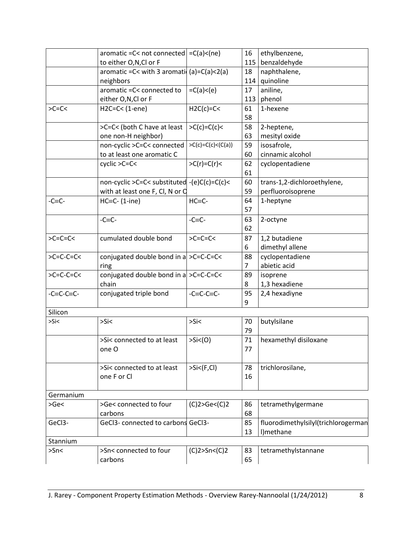|                | aromatic = $C$ < not connected $= C(a)$ < (ne) |                           | 16       | ethylbenzene,                       |
|----------------|------------------------------------------------|---------------------------|----------|-------------------------------------|
|                | to either O,N,Cl or F                          |                           | 115      | benzaldehyde                        |
|                | aromatic = C< with 3 aromati $(a)=C(a) < 2(a)$ |                           | 18       | naphthalene,                        |
|                | neighbors                                      |                           | 114      | quinoline                           |
|                | aromatic = C< connected to                     | $=C(a) < (e)$             | 17       | aniline,                            |
|                | either O,N,Cl or F                             |                           | 113      | phenol                              |
| $>C=C<$        | $H2C=C<(1-ene)$                                | $H2C(c)=C<$               | 61<br>58 | 1-hexene                            |
|                | >C=C< (both C have at least                    | $>C(c)=C(c)<$             | 58       | 2-heptene,                          |
|                | one non-H neighbor)                            |                           | 63       | mesityl oxide                       |
|                | non-cyclic >C=C< connected                     | $>C(c)=C(c) < (C(a))$     | 59       | isosafrole,                         |
|                | to at least one aromatic C                     |                           | 60       | cinnamic alcohol                    |
|                | cyclic >C=C<                                   | $>C(r)=C(r)<$             | 62       | cyclopentadiene                     |
|                |                                                |                           | 61       |                                     |
|                | non-cyclic >C=C< substituted -(e)C(c)=C(c)<    |                           | 60       | trans-1,2-dichloroethylene,         |
|                | with at least one F, Cl, N or O                |                           | 59       | perfluoroisoprene                   |
| $-C\equiv C$ - | $HC = C - (1 - ine)$                           | $HC = C -$                | 64       | 1-heptyne                           |
|                |                                                |                           | 57       |                                     |
|                | $-C=C-$                                        | $-C=C-$                   | 63       | 2-octyne                            |
|                |                                                |                           | 62       |                                     |
| $>C=C=C<$      | cumulated double bond                          | $>C=C=C-C$                | 87       | 1,2 butadiene                       |
|                |                                                |                           | 6        | dimethyl allene                     |
| $>C=C-C=C<$    | conjugated double bond in a $>C=C=C<C$         |                           | 88       | cyclopentadiene                     |
|                | ring                                           |                           | 7        | abietic acid                        |
| $>C=C-C=C<$    | conjugated double bond in a $>C=C=C<C$         |                           | 89       | isoprene                            |
|                | chain                                          |                           | 8        | 1,3 hexadiene                       |
| $-C=C-C=C-$    | conjugated triple bond                         | $-C=C-C=C-$               | 95       | 2,4 hexadiyne                       |
|                |                                                |                           | 9        |                                     |
| Silicon        |                                                |                           |          |                                     |
| >Si            | >Si<                                           | >Si<                      | 70       | butylsilane                         |
|                |                                                |                           | 79       |                                     |
|                | >Si< connected to at least                     | $>\mathsf{Si} \leq (0)$   | 71       | hexamethyl disiloxane               |
|                | one O                                          |                           | 77       |                                     |
|                |                                                |                           |          |                                     |
|                | >Si< connected to at least                     | $>\mathsf{Si}\leq$ (F,Cl) | 78       | trichlorosilane,                    |
|                | one F or Cl                                    |                           | 16       |                                     |
| Germanium      |                                                |                           |          |                                     |
| >Ge<           | >Ge< connected to four                         | (C)2 > Ge < (C)2          | 86       | tetramethylgermane                  |
|                | carbons                                        |                           | 68       |                                     |
| GeCl3-         | GeCl3- connected to carbons GeCl3-             |                           | 85       | fluorodimethylsilyl(trichlorogerman |
|                |                                                |                           | 13       | I)methane                           |
| Stannium       |                                                |                           |          |                                     |
| $>$ Sn $<$     | >Sn< connected to four                         | (C)2>Sn<(C)2              | 83       | tetramethylstannane                 |
|                | carbons                                        |                           | 65       |                                     |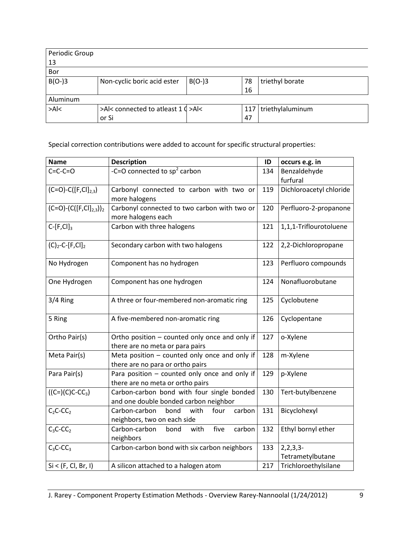| Periodic Group |                                    |          |    |                        |  |  |  |  |  |
|----------------|------------------------------------|----------|----|------------------------|--|--|--|--|--|
| 13             |                                    |          |    |                        |  |  |  |  |  |
| Bor            |                                    |          |    |                        |  |  |  |  |  |
| $B(O-)3$       | Non-cyclic boric acid ester        | $B(O-3)$ | 78 | triethyl borate        |  |  |  |  |  |
|                |                                    |          | 16 |                        |  |  |  |  |  |
| Aluminum       |                                    |          |    |                        |  |  |  |  |  |
| >A <           | >Al< connected to atleast 1 ( >Al< |          |    | 117   triethylaluminum |  |  |  |  |  |
|                | or Si                              |          | 47 |                        |  |  |  |  |  |

Special correction contributions were added to account for specific structural properties:

| <b>Name</b>                                 | <b>Description</b>                                                                  | ID  | occurs e.g. in                 |
|---------------------------------------------|-------------------------------------------------------------------------------------|-----|--------------------------------|
| $C=C-C=O$                                   | -C=O connected to $sp^2$ carbon                                                     | 134 | Benzaldehyde<br>furfural       |
| $(C=O)-C([F, Cl]_{2,3})$                    | Carbonyl connected to carbon with two or<br>more halogens                           | 119 | Dichloroacetyl chloride        |
| $(C=O)$ - $(C([F, Cl]_{2,3}))$ <sub>2</sub> | Carbonyl connected to two carbon with two or<br>more halogens each                  | 120 | Perfluoro-2-propanone          |
| $C$ -[F,Cl] <sub>3</sub>                    | Carbon with three halogens                                                          | 121 | 1,1,1-Triflourotoluene         |
| $(C)_2$ -C-[F,Cl] <sub>2</sub>              | Secondary carbon with two halogens                                                  | 122 | 2,2-Dichloropropane            |
| No Hydrogen                                 | Component has no hydrogen                                                           | 123 | Perfluoro compounds            |
| One Hydrogen                                | Component has one hydrogen                                                          | 124 | Nonafluorobutane               |
| 3/4 Ring                                    | A three or four-membered non-aromatic ring                                          | 125 | Cyclobutene                    |
| 5 Ring                                      | A five-membered non-aromatic ring                                                   | 126 | Cyclopentane                   |
| Ortho Pair(s)                               | Ortho position - counted only once and only if<br>there are no meta or para pairs   | 127 | o-Xylene                       |
| Meta Pair(s)                                | Meta position $-$ counted only once and only if<br>there are no para or ortho pairs | 128 | m-Xylene                       |
| Para Pair(s)                                | Para position - counted only once and only if<br>there are no meta or ortho pairs   | 129 | p-Xylene                       |
| $((C=)(C)C-CC_3)$                           | Carbon-carbon bond with four single bonded<br>and one double bonded carbon neighbor | 130 | Tert-butylbenzene              |
| $C_2C$ -CC <sub>2</sub>                     | Carbon-carbon<br>bond<br>with<br>four<br>carbon<br>neighbors, two on each side      | 131 | Bicyclohexyl                   |
| $C_3C$ -CC <sub>2</sub>                     | Carbon-carbon<br>five<br>with<br>carbon<br>bond<br>neighbors                        | 132 | Ethyl bornyl ether             |
| $C_3C$ -CC <sub>3</sub>                     | Carbon-carbon bond with six carbon neighbors                                        | 133 | 2, 2, 3, 3<br>Tetrametylbutane |
| Si < (F, Cl, Br, I)                         | A silicon attached to a halogen atom                                                | 217 | Trichloroethylsilane           |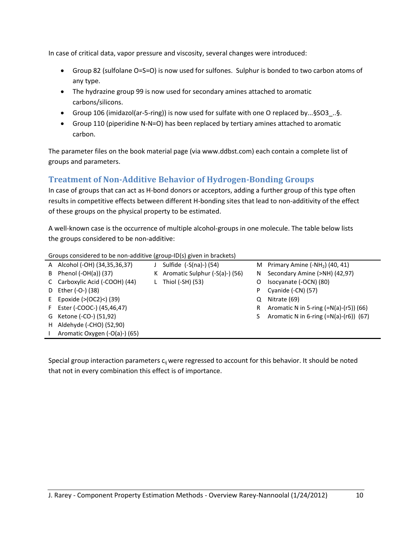In case of critical data, vapor pressure and viscosity, several changes were introduced:

- Group 82 (sulfolane O=S=O) is now used for sulfones. Sulphur is bonded to two carbon atoms of any type.
- The hydrazine group 99 is now used for secondary amines attached to aromatic carbons/silicons.
- Group 106 (imidazol(ar-5-ring)) is now used for sulfate with one O replaced by...§SO3\_..§.
- Group 110 (piperidine N-N=O) has been replaced by tertiary amines attached to aromatic carbon.

The parameter files on the book material page (via www.ddbst.com) each contain a complete list of groups and parameters.

# **Treatment of Non-Additive Behavior of Hydrogen-Bonding Groups**

In case of groups that can act as H-bond donors or acceptors, adding a further group of this type often results in competitive effects between different H-bonding sites that lead to non-additivity of the effect of these groups on the physical property to be estimated.

A well-known case is the occurrence of multiple alcohol-groups in one molecule. The table below lists the groups considered to be non-additive:

| oroups considered to be non-additive (group-iD(s) given in brackets) |                                |  |                                   |    |                                          |  |  |
|----------------------------------------------------------------------|--------------------------------|--|-----------------------------------|----|------------------------------------------|--|--|
|                                                                      | A Alcohol (-OH) (34,35,36,37)  |  | Sulfide $(-S(na)-)(54)$           |    | M Primary Amine $(-NH2)$ (40, 41)        |  |  |
|                                                                      | B Phenol $(-OH(a))$ (37)       |  | K Aromatic Sulphur $(-S(a)-)(56)$ |    | N Secondary Amine (>NH) (42,97)          |  |  |
|                                                                      | C Carboxylic Acid (-COOH) (44) |  | Thiol (-SH) (53)                  | 0  | Isocyanate (-OCN) (80)                   |  |  |
|                                                                      | D Ether (-O-) (38)             |  |                                   | P. | Cyanide (-CN) (57)                       |  |  |
|                                                                      | E Epoxide $(>(OC2) < (39)$     |  |                                   | O  | Nitrate (69)                             |  |  |
|                                                                      | F Ester (-COOC-) (45,46,47)    |  |                                   | R  | Aromatic N in 5-ring $(=N(a)-(r5))$ (66) |  |  |
|                                                                      | G Ketone (-CO-) (51,92)        |  |                                   | S. | Aromatic N in 6-ring $(=N(a)-(r6))$ (67) |  |  |
|                                                                      | H Aldehyde (-CHO) (52,90)      |  |                                   |    |                                          |  |  |
|                                                                      | Aromatic Oxygen (-O(a)-) (65)  |  |                                   |    |                                          |  |  |

Groups considered to be non-additive (group-ID(s) given in brackets)

Special group interaction parameters c<sub>ii</sub> were regressed to account for this behavior. It should be noted that not in every combination this effect is of importance.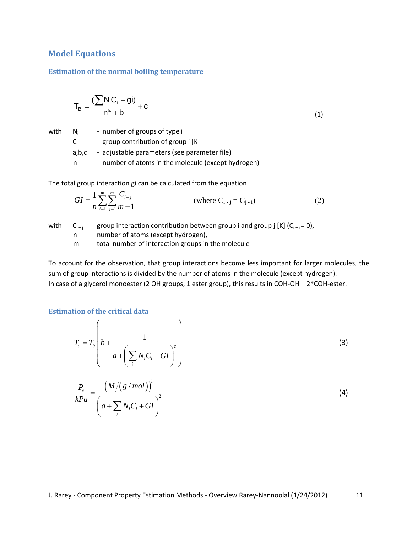## **Model Equations**

### **Estimation of the normal boiling temperature**

$$
T_B = \frac{\left(\sum N_i C_i + gi\right)}{n^a + b} + c \tag{1}
$$

with N<sup>i</sup>

 - number of groups of type i  $C_i$  - group contribution of group i  $[K]$ 

a,b,c - adjustable parameters (see parameter file)

n - number of atoms in the molecule (except hydrogen)

The total group interaction gi can be calculated from the equation

$$
GI = \frac{1}{n} \sum_{i=1}^{m} \sum_{j=1}^{m} \frac{C_{i-j}}{m-1}
$$
 (where C<sub>i-j</sub> = C<sub>j-i</sub>) (2)

with  $C_{i-i}$  group interaction contribution between group i and group j [K] ( $C_{i-i} = 0$ ),

n number of atoms (except hydrogen),

m total number of interaction groups in the molecule

To account for the observation, that group interactions become less important for larger molecules, the sum of group interactions is divided by the number of atoms in the molecule (except hydrogen). In case of a glycerol monoester (2 OH groups, 1 ester group), this results in COH-OH + 2\*COH-ester.

### **Estimation of the critical data**

$$
T_c = T_b \left( b + \frac{1}{a + \left( \sum_i N_i C_i + GI \right)^c} \right)
$$
\n
$$
\frac{P_c}{kPa} = \frac{\left( M/(g/mol) \right)^b}{\left( a + \sum_i N_i C_i + GI \right)^2}
$$
\n(4)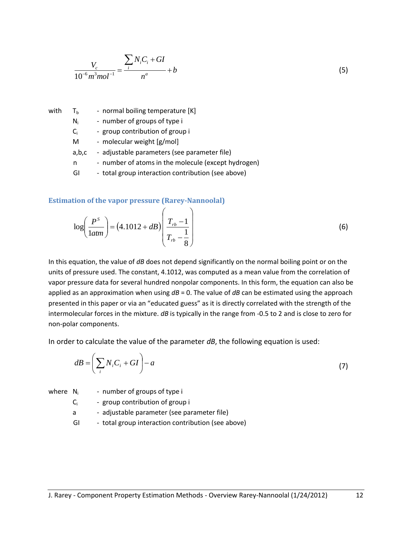$$
\frac{V_c}{10^{-6}m^3 mol^{-1}} = \frac{\sum_{i} N_i C_i + GI}{n^a} + b
$$
\n(5)

with  $T_b$  - normal boiling temperature [K]

- $N_i$ - number of groups of type i
- $C_i$ - group contribution of group i
- M molecular weight [g/mol]
- a,b,c adjustable parameters (see parameter file)
- n number of atoms in the molecule (except hydrogen)
- GI total group interaction contribution (see above)

 $\sqrt{ }$ 

#### **Estimation of the vapor pressure (Rarey-Nannoolal)**

$$
\log\left(\frac{P^s}{1atm}\right) = (4.1012 + dB)\left(\frac{T_{rb} - 1}{T_{rb} - \frac{1}{8}}\right)
$$
\n(6)

In this equation, the value of *dB* does not depend significantly on the normal boiling point or on the units of pressure used. The constant, 4.1012, was computed as a mean value from the correlation of vapor pressure data for several hundred nonpolar components. In this form, the equation can also be applied as an approximation when using *dB* = 0. The value of *dB* can be estimated using the approach presented in this paper or via an "educated guess" as it is directly correlated with the strength of the intermolecular forces in the mixture. *dB* is typically in the range from -0.5 to 2 and is close to zero for non-polar components.

In order to calculate the value of the parameter *dB*, the following equation is used:

$$
dB = \left(\sum_{i} N_i C_i + GI\right) - a\tag{7}
$$

where  $N_i$  - number of groups of type i

 $C_i$  - group contribution of group i

a - adjustable parameter (see parameter file)

GI - total group interaction contribution (see above)